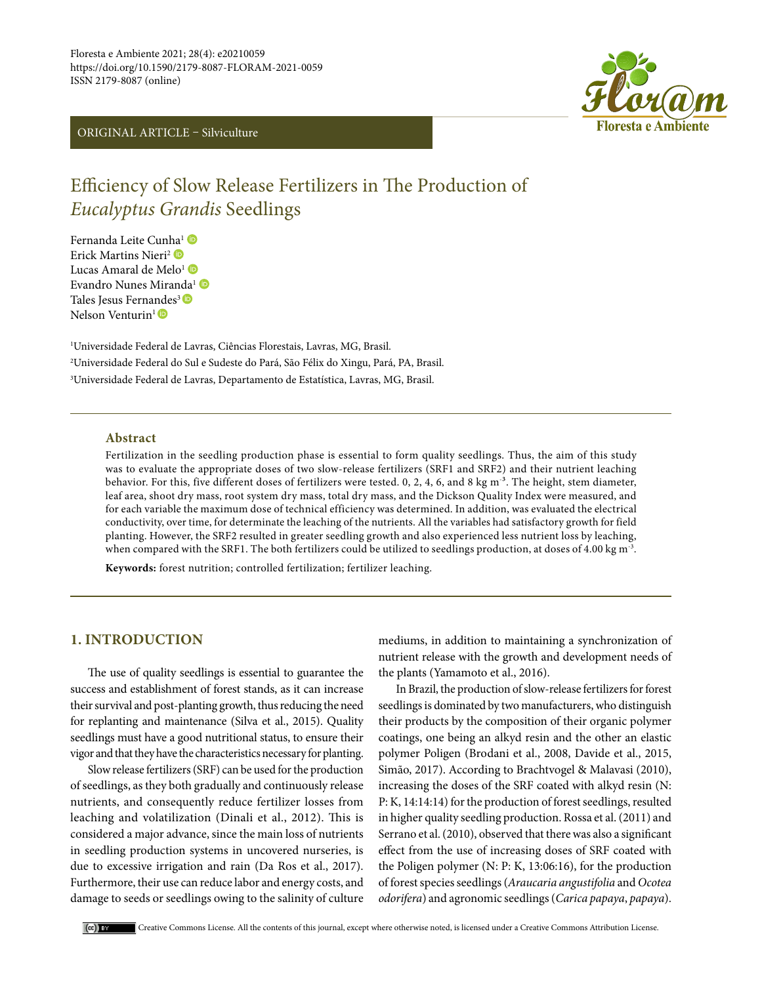# ORIGINAL ARTICLE – Silviculture



# Efficiency of Slow Release Fertilizers in The Production of *Eucalyptus Grandis* Seedlings

Fernanda Leite Cun[ha](https://orcid.org/0000-0002-9425-9827)1 Erick Martins Nieri<sup>2</sup> Lucas Amaral de Melo<sup>[1](https://orcid.org/0000-0001-5219-9179)</sup> Evandro Nunes Miran[da](https://orcid.org/0000-0002-1457-9653)<sup>1</sup> Tales Jesus Ferna[nde](https://orcid.org/0000-0001-8397-8984)s<sup>3</sup> Nelson Venturin<sup>1</sup>

1 Universidade Federal de Lavras, Ciências Florestais, Lavras, MG, Brasil. 2 Universidade Federal do Sul e Sudeste do Pará, São Félix do Xingu, Pará, PA, Brasil. 3 Universidade Federal de Lavras, Departamento de Estatística, Lavras, MG, Brasil.

#### **Abstract**

Fertilization in the seedling production phase is essential to form quality seedlings. Thus, the aim of this study was to evaluate the appropriate doses of two slow-release fertilizers (SRF1 and SRF2) and their nutrient leaching behavior. For this, five different doses of fertilizers were tested. 0, 2, 4, 6, and 8 kg m<sup>-3</sup>. The height, stem diameter, leaf area, shoot dry mass, root system dry mass, total dry mass, and the Dickson Quality Index were measured, and for each variable the maximum dose of technical efficiency was determined. In addition, was evaluated the electrical conductivity, over time, for determinate the leaching of the nutrients. All the variables had satisfactory growth for field planting. However, the SRF2 resulted in greater seedling growth and also experienced less nutrient loss by leaching, when compared with the SRF1. The both fertilizers could be utilized to seedlings production, at doses of 4.00 kg m<sup>-3</sup>.

**Keywords:** forest nutrition; controlled fertilization; fertilizer leaching.

# **1. INTRODUCTION**

The use of quality seedlings is essential to guarantee the success and establishment of forest stands, as it can increase their survival and post-planting growth, thus reducing the need for replanting and maintenance (Silva et al., 2015). Quality seedlings must have a good nutritional status, to ensure their vigor and that they have the characteristics necessary for planting.

Slow release fertilizers (SRF) can be used for the production of seedlings, as they both gradually and continuously release nutrients, and consequently reduce fertilizer losses from leaching and volatilization (Dinali et al., 2012). This is considered a major advance, since the main loss of nutrients in seedling production systems in uncovered nurseries, is due to excessive irrigation and rain (Da Ros et al., 2017). Furthermore, their use can reduce labor and energy costs, and damage to seeds or seedlings owing to the salinity of culture mediums, in addition to maintaining a synchronization of nutrient release with the growth and development needs of the plants (Yamamoto et al., 2016).

In Brazil, the production of slow-release fertilizers for forest seedlings is dominated by two manufacturers, who distinguish their products by the composition of their organic polymer coatings, one being an alkyd resin and the other an elastic polymer Poligen (Brodani et al., 2008, Davide et al., 2015, Simão, 2017). According to Brachtvogel & Malavasi (2010), increasing the doses of the SRF coated with alkyd resin (N: P: K, 14:14:14) for the production of forest seedlings, resulted in higher quality seedling production. Rossa et al. (2011) and Serrano et al. (2010), observed that there was also a significant effect from the use of increasing doses of SRF coated with the Poligen polymer (N: P: K, 13:06:16), for the production of forest species seedlings (*Araucaria angustifolia* and *Ocotea odorifera*) and agronomic seedlings (*Carica papaya*, *papaya*).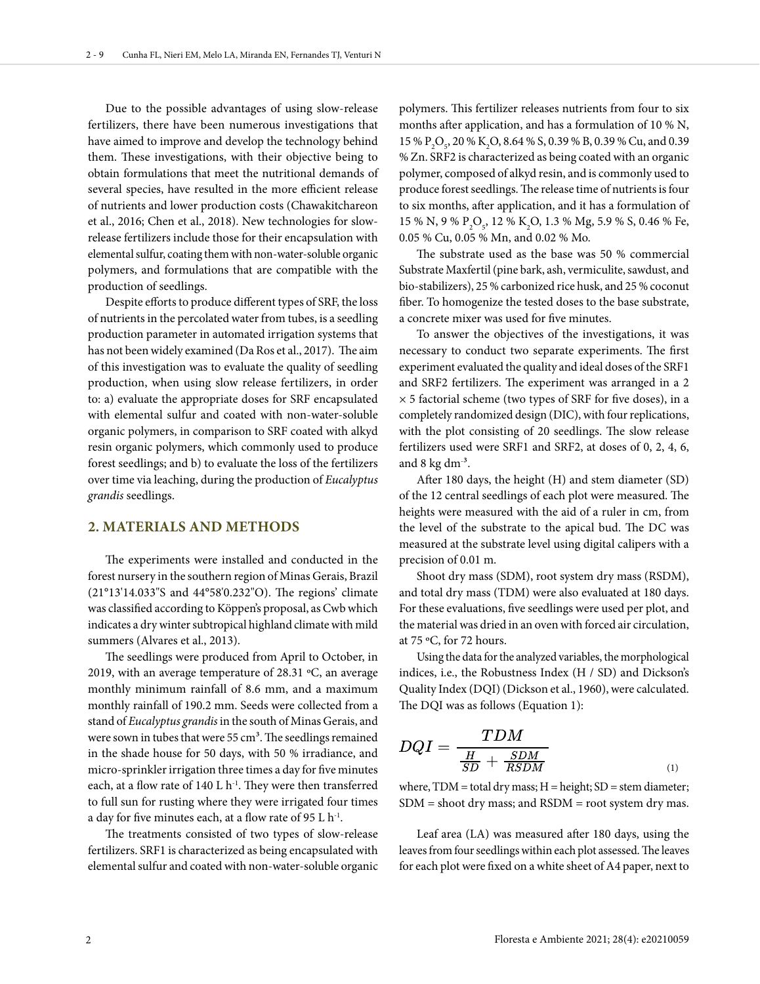Due to the possible advantages of using slow-release fertilizers, there have been numerous investigations that have aimed to improve and develop the technology behind them. These investigations, with their objective being to obtain formulations that meet the nutritional demands of several species, have resulted in the more efficient release of nutrients and lower production costs (Chawakitchareon et al., 2016; Chen et al., 2018). New technologies for slowrelease fertilizers include those for their encapsulation with elemental sulfur, coating them with non-water-soluble organic polymers, and formulations that are compatible with the production of seedlings.

Despite efforts to produce different types of SRF, the loss of nutrients in the percolated water from tubes, is a seedling production parameter in automated irrigation systems that has not been widely examined (Da Ros et al., 2017). The aim of this investigation was to evaluate the quality of seedling production, when using slow release fertilizers, in order to: a) evaluate the appropriate doses for SRF encapsulated with elemental sulfur and coated with non-water-soluble organic polymers, in comparison to SRF coated with alkyd resin organic polymers, which commonly used to produce forest seedlings; and b) to evaluate the loss of the fertilizers over time via leaching, during the production of *Eucalyptus grandis* seedlings.

### **2. MATERIALS AND METHODS**

The experiments were installed and conducted in the forest nursery in the southern region of Minas Gerais, Brazil (21°13'14.033"S and 44°58'0.232"O). The regions' climate was classified according to Köppen's proposal, as Cwb which indicates a dry winter subtropical highland climate with mild summers (Alvares et al., 2013).

The seedlings were produced from April to October, in 2019, with an average temperature of 28.31 ºC, an average monthly minimum rainfall of 8.6 mm, and a maximum monthly rainfall of 190.2 mm. Seeds were collected from a stand of *Eucalyptus grandis* in the south of Minas Gerais, and were sown in tubes that were 55 cm<sup>3</sup>. The seedlings remained in the shade house for 50 days, with 50 % irradiance, and micro-sprinkler irrigation three times a day for five minutes each, at a flow rate of 140 L  $h^{-1}$ . They were then transferred to full sun for rusting where they were irrigated four times a day for five minutes each, at a flow rate of 95 L  $h^{-1}$ .

The treatments consisted of two types of slow-release fertilizers. SRF1 is characterized as being encapsulated with elemental sulfur and coated with non-water-soluble organic

polymers. This fertilizer releases nutrients from four to six months after application, and has a formulation of 10 % N, 15 %  $P_2O_5$ , 20 % K<sub>2</sub>O, 8.64 % S, 0.39 % B, 0.39 % Cu, and 0.39 % Zn. SRF2 is characterized as being coated with an organic polymer, composed of alkyd resin, and is commonly used to produce forest seedlings. The release time of nutrients is four to six months, after application, and it has a formulation of 15 % N, 9 %  $P_2O_5$ , 12 % K<sub>2</sub>O, 1.3 % Mg, 5.9 % S, 0.46 % Fe, 0.05 % Cu, 0.05 % Mn, and 0.02 % Mo.

The substrate used as the base was 50 % commercial Substrate Maxfertil (pine bark, ash, vermiculite, sawdust, and bio-stabilizers), 25 % carbonized rice husk, and 25 % coconut fiber. To homogenize the tested doses to the base substrate, a concrete mixer was used for five minutes.

To answer the objectives of the investigations, it was necessary to conduct two separate experiments. The first experiment evaluated the quality and ideal doses of the SRF1 and SRF2 fertilizers. The experiment was arranged in a 2  $\times$  5 factorial scheme (two types of SRF for five doses), in a completely randomized design (DIC), with four replications, with the plot consisting of 20 seedlings. The slow release fertilizers used were SRF1 and SRF2, at doses of 0, 2, 4, 6, and  $8 \text{ kg dm}^{-3}$ .

After 180 days, the height (H) and stem diameter (SD) of the 12 central seedlings of each plot were measured. The heights were measured with the aid of a ruler in cm, from the level of the substrate to the apical bud. The DC was measured at the substrate level using digital calipers with a precision of 0.01 m.

Shoot dry mass (SDM), root system dry mass (RSDM), and total dry mass (TDM) were also evaluated at 180 days. For these evaluations, five seedlings were used per plot, and the material was dried in an oven with forced air circulation, at 75 ºC, for 72 hours.

Using the data for the analyzed variables, the morphological indices, i.e., the Robustness Index (H / SD) and Dickson's Quality Index (DQI) (Dickson et al., 1960), were calculated. The DQI was as follows (Equation 1):

$$
DQI = \frac{TDM}{\frac{H}{SD} + \frac{SDM}{RSDM}}
$$
 (1)

where,  $TDM =$  total dry mass;  $H =$  height;  $SD =$  stem diameter; SDM = shoot dry mass; and RSDM = root system dry mas.

Leaf area (LA) was measured after 180 days, using the leaves from four seedlings within each plot assessed. The leaves for each plot were fixed on a white sheet of A4 paper, next to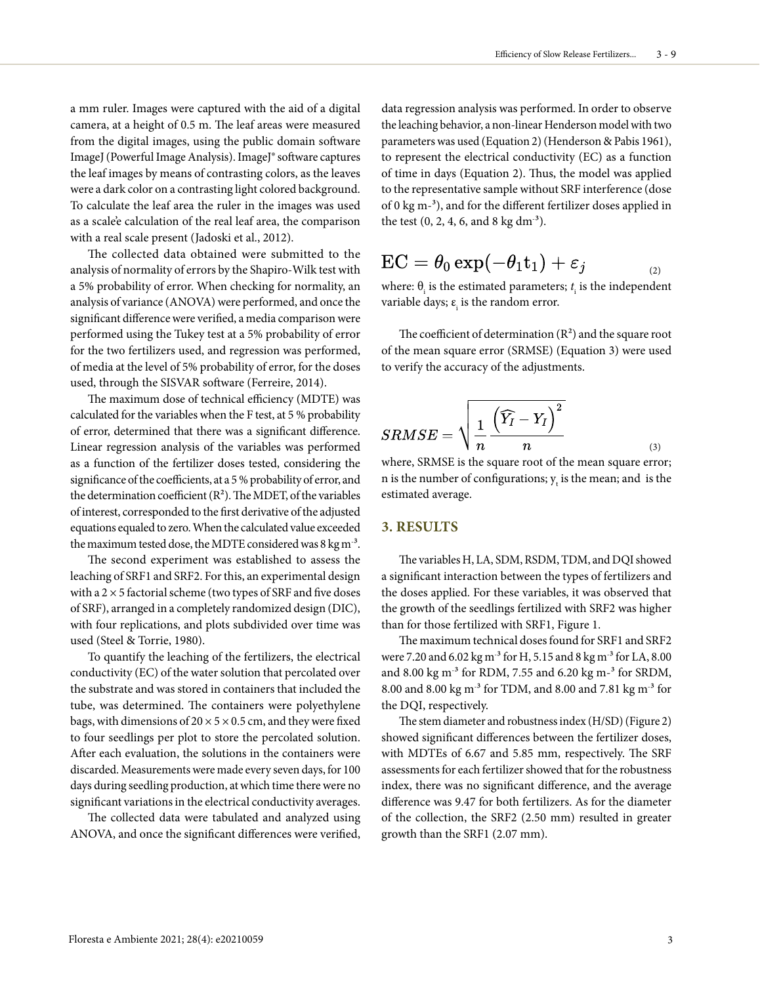a mm ruler. Images were captured with the aid of a digital camera, at a height of 0.5 m. The leaf areas were measured from the digital images, using the public domain software ImageJ (Powerful Image Analysis). ImageJ® software captures the leaf images by means of contrasting colors, as the leaves were a dark color on a contrasting light colored background. To calculate the leaf area the ruler in the images was used as a scale'e calculation of the real leaf area, the comparison with a real scale present (Jadoski et al., 2012).

The collected data obtained were submitted to the analysis of normality of errors by the Shapiro-Wilk test with a 5% probability of error. When checking for normality, an analysis of variance (ANOVA) were performed, and once the significant difference were verified, a media comparison were performed using the Tukey test at a 5% probability of error for the two fertilizers used, and regression was performed, of media at the level of 5% probability of error, for the doses used, through the SISVAR software (Ferreire, 2014).

The maximum dose of technical efficiency (MDTE) was calculated for the variables when the F test, at 5 % probability of error, determined that there was a significant difference. Linear regression analysis of the variables was performed as a function of the fertilizer doses tested, considering the significance of the coefficients, at a 5 % probability of error, and the determination coefficient  $(R^2)$ . The MDET, of the variables of interest, corresponded to the first derivative of the adjusted equations equaled to zero. When the calculated value exceeded the maximum tested dose, the MDTE considered was 8 kg m $^{\text{-3}}$ .

The second experiment was established to assess the leaching of SRF1 and SRF2. For this, an experimental design with a  $2 \times 5$  factorial scheme (two types of SRF and five doses of SRF), arranged in a completely randomized design (DIC), with four replications, and plots subdivided over time was used (Steel & Torrie, 1980).

To quantify the leaching of the fertilizers, the electrical conductivity (EC) of the water solution that percolated over the substrate and was stored in containers that included the tube, was determined. The containers were polyethylene bags, with dimensions of  $20 \times 5 \times 0.5$  cm, and they were fixed to four seedlings per plot to store the percolated solution. After each evaluation, the solutions in the containers were discarded. Measurements were made every seven days, for 100 days during seedling production, at which time there were no significant variations in the electrical conductivity averages.

The collected data were tabulated and analyzed using ANOVA, and once the significant differences were verified,

data regression analysis was performed. In order to observe the leaching behavior, a non-linear Henderson model with two parameters was used (Equation 2) (Henderson & Pabis 1961), to represent the electrical conductivity (EC) as a function of time in days (Equation 2). Thus, the model was applied to the representative sample without SRF interference (dose of 0 kg m-³), and for the different fertilizer doses applied in the test  $(0, 2, 4, 6, \text{ and } 8 \text{ kg dm}^3)$ .

$$
\text{EC} = \theta_0 \exp(-\theta_1 \texttt{t}_1) + \varepsilon_j \qquad \qquad {}_{\scriptscriptstyle (2)}
$$

where:  $\theta_i$  is the estimated parameters;  $t_i$  is the independent variable days;  $\varepsilon$ <sub>i</sub> is the random error.

The coefficient of determination  $(R^2)$  and the square root of the mean square error (SRMSE) (Equation 3) were used to verify the accuracy of the adjustments.

$$
SRMSE = \sqrt{\frac{1}{n} \frac{\left(\widehat{Y_I} - Y_I\right)^2}{n}}
$$
\n<sup>(3)</sup>

where, SRMSE is the square root of the mean square error; n is the number of configurations;  $y_t$  is the mean; and is the estimated average.

### **3. RESULTS**

The variables H, LA, SDM, RSDM, TDM, and DQI showed a significant interaction between the types of fertilizers and the doses applied. For these variables, it was observed that the growth of the seedlings fertilized with SRF2 was higher than for those fertilized with SRF1, Figure 1.

The maximum technical doses found for SRF1 and SRF2 were 7.20 and 6.02 kg m<sup>-3</sup> for H, 5.15 and 8 kg m<sup>-3</sup> for LA, 8.00 and 8.00 kg m<sup>-3</sup> for RDM, 7.55 and 6.20 kg m-<sup>3</sup> for SRDM, 8.00 and 8.00 kg m- ³ for TDM, and 8.00 and 7.81 kg m- ³ for the DQI, respectively.

The stem diameter and robustness index (H/SD) (Figure 2) showed significant differences between the fertilizer doses, with MDTEs of 6.67 and 5.85 mm, respectively. The SRF assessments for each fertilizer showed that for the robustness index, there was no significant difference, and the average difference was 9.47 for both fertilizers. As for the diameter of the collection, the SRF2 (2.50 mm) resulted in greater growth than the SRF1 (2.07 mm).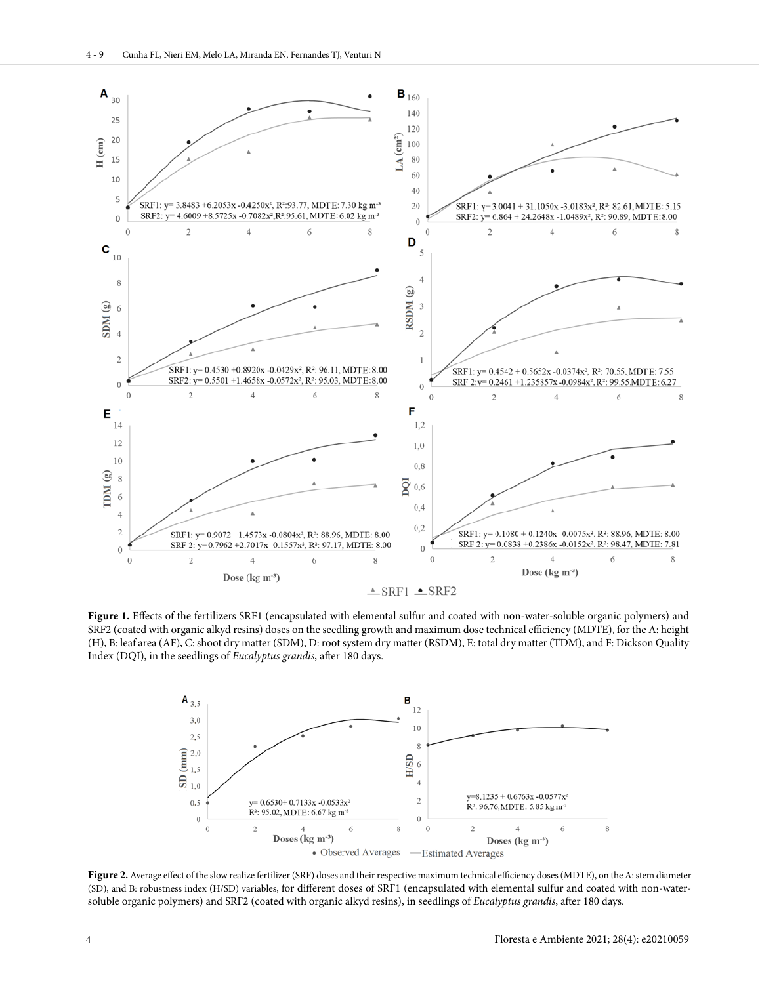

**Figure 1.** Effects of the fertilizers SRF1 (encapsulated with elemental sulfur and coated with non-water-soluble organic polymers) and SRF2 (coated with organic alkyd resins) doses on the seedling growth and maximum dose technical efficiency (MDTE), for the A: height (H), B: leaf area (AF), C: shoot dry matter (SDM), D: root system dry matter (RSDM), E: total dry matter (TDM), and F: Dickson Quality Index (DQI), in the seedlings of *Eucalyptus grandis*, after 180 days.



Figure 2. Average effect of the slow realize fertilizer (SRF) doses and their respective maximum technical efficiency doses (MDTE), on the A: stem diameter (SD), and B: robustness index (H/SD) variables, for different doses of SRF1 (encapsulated with elemental sulfur and coated with non-watersoluble organic polymers) and SRF2 (coated with organic alkyd resins), in seedlings of *Eucalyptus grandis*, after 180 days.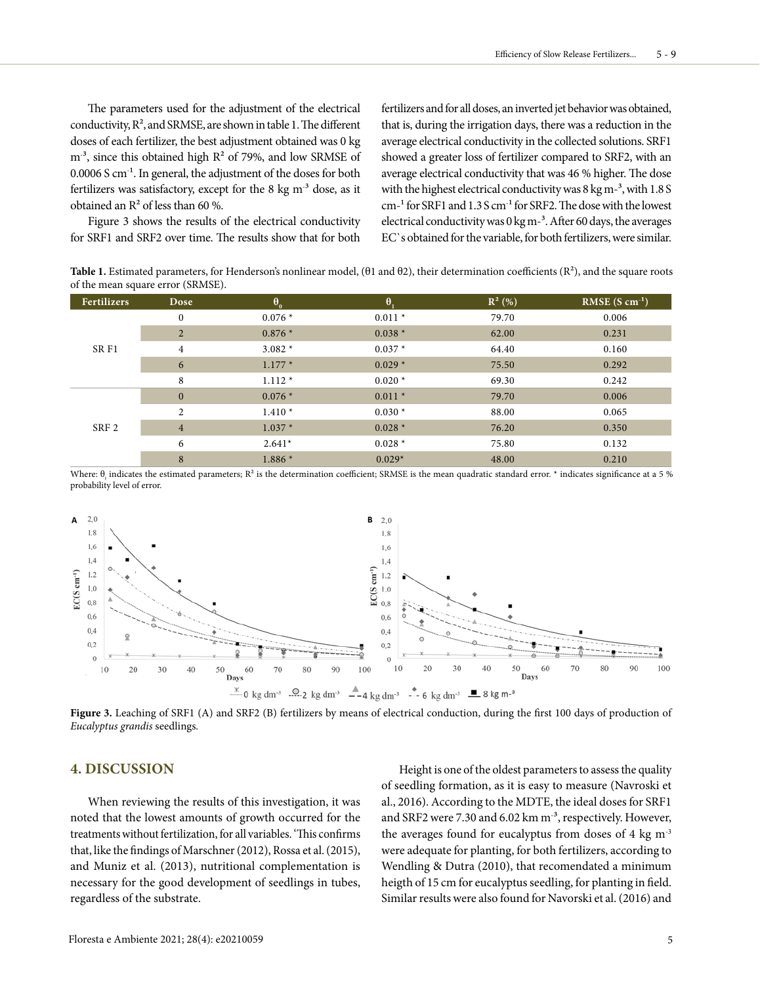The parameters used for the adjustment of the electrical conductivity,  $R^2$ , and SRMSE, are shown in table 1. The different doses of each fertilizer, the best adjustment obtained was 0 kg  $m<sup>-3</sup>$ , since this obtained high  $R<sup>2</sup>$  of 79%, and low SRMSE of  $0.0006$  S cm<sup>-1</sup>. In general, the adjustment of the doses for both fertilizers was satisfactory, except for the 8 kg  $m<sup>3</sup>$  dose, as it obtained an R² of less than 60 %.

Figure 3 shows the results of the electrical conductivity for SRF1 and SRF2 over time. The results show that for both fertilizers and for all doses, an inverted jet behavior was obtained, that is, during the irrigation days, there was a reduction in the average electrical conductivity in the collected solutions. SRF1 showed a greater loss of fertilizer compared to SRF2, with an average electrical conductivity that was 46 % higher. The dose with the highest electrical conductivity was  $8 \text{ kg m}$ <sup>-3</sup>, with  $1.8 \text{ S}$  $cm<sup>-1</sup>$  for SRF1 and 1.3 S  $cm<sup>-1</sup>$  for SRF2. The dose with the lowest electrical conductivity was  $0 \text{ kg m}^{-3}$ . After 60 days, the averages EC`s obtained for the variable, for both fertilizers, were similar.

**Table 1.** Estimated parameters, for Henderson's nonlinear model, (θ1 and θ2), their determination coefficients (R²), and the square roots of the mean square error (SRMSE).

| <b>Fertilizers</b> | Dose           |          | $\theta$ | $R^2$ (%) | RMSE $(S \text{ cm}^{-1})$ |
|--------------------|----------------|----------|----------|-----------|----------------------------|
| SR F1              | $\mathbf{0}$   | $0.076*$ | $0.011*$ | 79.70     | 0.006                      |
|                    | 2              | $0.876*$ | $0.038*$ | 62.00     | 0.231                      |
|                    | $\overline{4}$ | $3.082*$ | $0.037*$ | 64.40     | 0.160                      |
|                    | 6              | $1.177*$ | $0.029*$ | 75.50     | 0.292                      |
|                    | 8              | $1.112*$ | $0.020*$ | 69.30     | 0.242                      |
| SRF <sub>2</sub>   | $\mathbf{0}$   | $0.076*$ | $0.011*$ | 79.70     | 0.006                      |
|                    | $\mathfrak{D}$ | $1.410*$ | $0.030*$ | 88.00     | 0.065                      |
|                    | $\overline{4}$ | $1.037*$ | $0.028*$ | 76.20     | 0.350                      |
|                    | 6              | $2.641*$ | $0.028*$ | 75.80     | 0.132                      |
|                    | 8              | $1.886*$ | $0.029*$ | 48.00     | 0.210                      |

Where:  $\theta_{\text{i}}$  indicates the estimated parameters; R $^2$  is the determination coefficient; SRMSE is the mean quadratic standard error. \* indicates significance at a 5 % probability level of error.



**Figure 3.** Leaching of SRF1 (A) and SRF2 (B) fertilizers by means of electrical conduction, during the first 100 days of production of *Eucalyptus grandis* seedlings*.*

# **4. DISCUSSION**

When reviewing the results of this investigation, it was noted that the lowest amounts of growth occurred for the treatments without fertilization, for all variables. 'This confirms that, like the findings of Marschner (2012), Rossa et al. (2015), and Muniz et al. (2013), nutritional complementation is necessary for the good development of seedlings in tubes, regardless of the substrate.

Height is one of the oldest parameters to assess the quality of seedling formation, as it is easy to measure (Navroski et al., 2016). According to the MDTE, the ideal doses for SRF1 and SRF2 were 7.30 and 6.02 km m<sup>-3</sup>, respectively. However, the averages found for eucalyptus from doses of 4 kg m-3 were adequate for planting, for both fertilizers, according to Wendling & Dutra (2010), that recomendated a minimum heigth of 15 cm for eucalyptus seedling, for planting in field. Similar results were also found for Navorski et al. (2016) and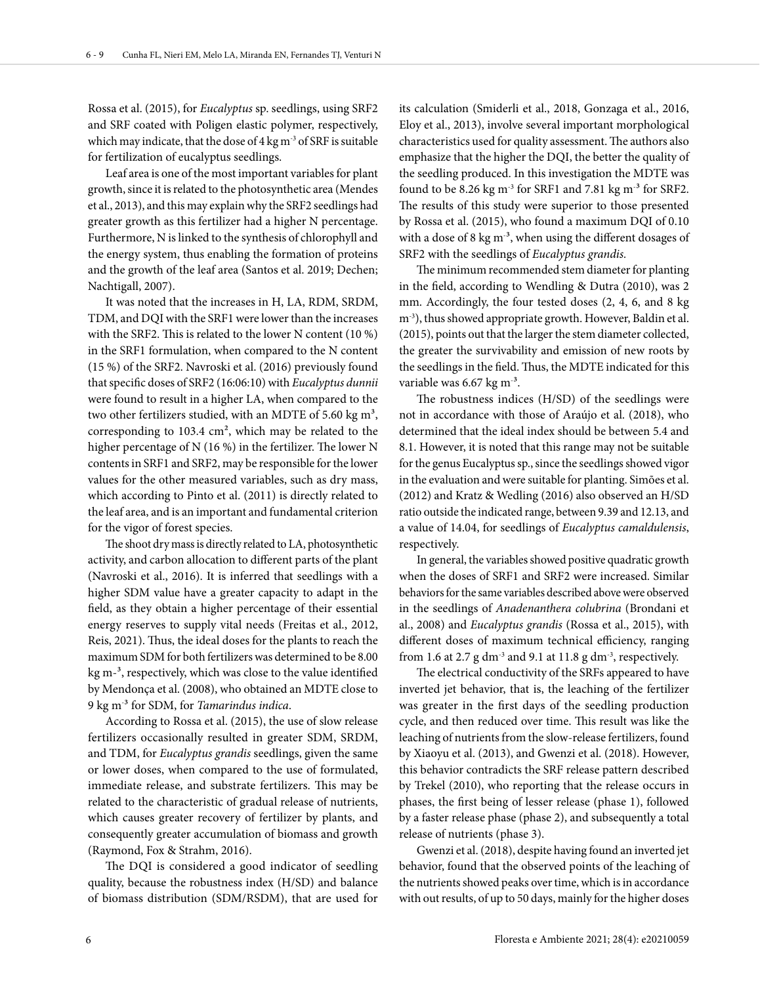Rossa et al. (2015), for *Eucalyptus* sp. seedlings, using SRF2 and SRF coated with Poligen elastic polymer, respectively, which may indicate, that the dose of  $4 \text{ kg m}^{-3}$  of SRF is suitable for fertilization of eucalyptus seedlings.

Leaf area is one of the most important variables for plant growth, since it is related to the photosynthetic area (Mendes et al., 2013), and this may explain why the SRF2 seedlings had greater growth as this fertilizer had a higher N percentage. Furthermore, N is linked to the synthesis of chlorophyll and the energy system, thus enabling the formation of proteins and the growth of the leaf area (Santos et al. 2019; Dechen; Nachtigall, 2007).

It was noted that the increases in H, LA, RDM, SRDM, TDM, and DQI with the SRF1 were lower than the increases with the SRF2. This is related to the lower N content (10 %) in the SRF1 formulation, when compared to the N content (15 %) of the SRF2. Navroski et al. (2016) previously found that specific doses of SRF2 (16:06:10) with *Eucalyptus dunnii* were found to result in a higher LA, when compared to the two other fertilizers studied, with an MDTE of 5.60 kg  $m^3$ , corresponding to 103.4 cm², which may be related to the higher percentage of N (16 %) in the fertilizer. The lower N contents in SRF1 and SRF2, may be responsible for the lower values for the other measured variables, such as dry mass, which according to Pinto et al. (2011) is directly related to the leaf area, and is an important and fundamental criterion for the vigor of forest species.

The shoot dry mass is directly related to LA, photosynthetic activity, and carbon allocation to different parts of the plant (Navroski et al., 2016). It is inferred that seedlings with a higher SDM value have a greater capacity to adapt in the field, as they obtain a higher percentage of their essential energy reserves to supply vital needs (Freitas et al., 2012, Reis, 2021). Thus, the ideal doses for the plants to reach the maximum SDM for both fertilizers was determined to be 8.00 kg m<sup>-3</sup>, respectively, which was close to the value identified by Mendonça et al. (2008), who obtained an MDTE close to 9 kg m- ³ for SDM, for *Tamarindus indica*.

According to Rossa et al. (2015), the use of slow release fertilizers occasionally resulted in greater SDM, SRDM, and TDM, for *Eucalyptus grandis* seedlings, given the same or lower doses, when compared to the use of formulated, immediate release, and substrate fertilizers. This may be related to the characteristic of gradual release of nutrients, which causes greater recovery of fertilizer by plants, and consequently greater accumulation of biomass and growth (Raymond, Fox & Strahm, 2016).

The DQI is considered a good indicator of seedling quality, because the robustness index (H/SD) and balance of biomass distribution (SDM/RSDM), that are used for

its calculation (Smiderli et al., 2018, Gonzaga et al., 2016, Eloy et al., 2013), involve several important morphological characteristics used for quality assessment. The authors also emphasize that the higher the DQI, the better the quality of the seedling produced. In this investigation the MDTE was found to be 8.26 kg m<sup>-3</sup> for SRF1 and 7.81 kg m<sup>-3</sup> for SRF2. The results of this study were superior to those presented by Rossa et al. (2015), who found a maximum DQI of 0.10 with a dose of 8 kg  $m<sup>3</sup>$ , when using the different dosages of SRF2 with the seedlings of *Eucalyptus grandis.*

The minimum recommended stem diameter for planting in the field, according to Wendling & Dutra (2010), was 2 mm. Accordingly, the four tested doses (2, 4, 6, and 8 kg m-3), thus showed appropriate growth. However, Baldin et al. (2015), points out that the larger the stem diameter collected, the greater the survivability and emission of new roots by the seedlings in the field. Thus, the MDTE indicated for this variable was 6.67 kg m<sup>.3</sup>.

The robustness indices (H/SD) of the seedlings were not in accordance with those of Araújo et al. (2018), who determined that the ideal index should be between 5.4 and 8.1. However, it is noted that this range may not be suitable for the genus Eucalyptus sp., since the seedlings showed vigor in the evaluation and were suitable for planting. Simões et al. (2012) and Kratz & Wedling (2016) also observed an H/SD ratio outside the indicated range, between 9.39 and 12.13, and a value of 14.04, for seedlings of *Eucalyptus camaldulensis*, respectively.

In general, the variables showed positive quadratic growth when the doses of SRF1 and SRF2 were increased. Similar behaviors for the same variables described above were observed in the seedlings of *Anadenanthera colubrina* (Brondani et al., 2008) and *Eucalyptus grandis* (Rossa et al., 2015), with different doses of maximum technical efficiency, ranging from 1.6 at 2.7 g dm<sup>-3</sup> and 9.1 at 11.8 g dm<sup>-3</sup>, respectively.

The electrical conductivity of the SRFs appeared to have inverted jet behavior, that is, the leaching of the fertilizer was greater in the first days of the seedling production cycle, and then reduced over time. This result was like the leaching of nutrients from the slow-release fertilizers, found by Xiaoyu et al. (2013), and Gwenzi et al. (2018). However, this behavior contradicts the SRF release pattern described by Trekel (2010), who reporting that the release occurs in phases, the first being of lesser release (phase 1), followed by a faster release phase (phase 2), and subsequently a total release of nutrients (phase 3).

Gwenzi et al. (2018), despite having found an inverted jet behavior, found that the observed points of the leaching of the nutrients showed peaks over time, which is in accordance with out results, of up to 50 days, mainly for the higher doses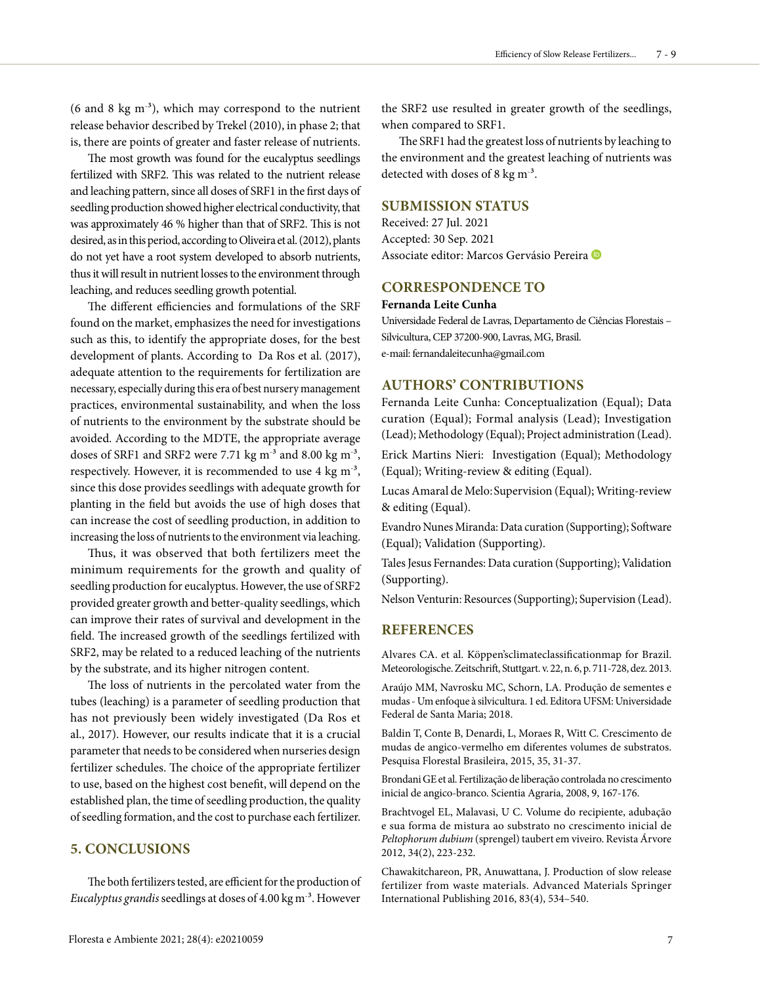$(6 \text{ and } 8 \text{ kg m}^3)$ , which may correspond to the nutrient release behavior described by Trekel (2010), in phase 2; that is, there are points of greater and faster release of nutrients.

The most growth was found for the eucalyptus seedlings fertilized with SRF2. This was related to the nutrient release and leaching pattern, since all doses of SRF1 in the first days of seedling production showed higher electrical conductivity, that was approximately 46 % higher than that of SRF2. This is not desired, as in this period, according to Oliveira et al. (2012), plants do not yet have a root system developed to absorb nutrients, thus it will result in nutrient losses to the environment through leaching, and reduces seedling growth potential.

The different efficiencies and formulations of the SRF found on the market, emphasizes the need for investigations such as this, to identify the appropriate doses, for the best development of plants. According to Da Ros et al. (2017), adequate attention to the requirements for fertilization are necessary, especially during this era of best nursery management practices, environmental sustainability, and when the loss of nutrients to the environment by the substrate should be avoided. According to the MDTE, the appropriate average doses of SRF1 and SRF2 were 7.71 kg  $m<sup>3</sup>$  and 8.00 kg  $m<sup>3</sup>$ , respectively. However, it is recommended to use 4 kg m<sup>-3</sup>, since this dose provides seedlings with adequate growth for planting in the field but avoids the use of high doses that can increase the cost of seedling production, in addition to increasing the loss of nutrients to the environment via leaching.

Thus, it was observed that both fertilizers meet the minimum requirements for the growth and quality of seedling production for eucalyptus. However, the use of SRF2 provided greater growth and better-quality seedlings, which can improve their rates of survival and development in the field. The increased growth of the seedlings fertilized with SRF2, may be related to a reduced leaching of the nutrients by the substrate, and its higher nitrogen content.

The loss of nutrients in the percolated water from the tubes (leaching) is a parameter of seedling production that has not previously been widely investigated (Da Ros et al., 2017). However, our results indicate that it is a crucial parameter that needs to be considered when nurseries design fertilizer schedules. The choice of the appropriate fertilizer to use, based on the highest cost benefit, will depend on the established plan, the time of seedling production, the quality of seedling formation, and the cost to purchase each fertilizer.

# **5. CONCLUSIONS**

The both fertilizers tested, are efficient for the production of *Eucalyptus grandis* seedlings at doses of 4.00 kg m- ³. However the SRF2 use resulted in greater growth of the seedlings, when compared to SRF1.

The SRF1 had the greatest loss of nutrients by leaching to the environment and the greatest leaching of nutrients was detected with doses of 8 kg  $\text{m}^3$ .

# **SUBMISSION STATUS**

Received: 27 Jul. 2021 Accepted: 30 Sep. 2021 Associate editor: Marcos Gervásio Pereira

# **CORRESPONDENCE TO**

#### **Fernanda Leite Cunha**

Universidade Federal de Lavras, Departamento de Ciências Florestais – Silvicultura, CEP 37200-900, Lavras, MG, Brasil. e-mail: fernandaleitecunha@gmail.com

# **AUTHORS' CONTRIBUTIONS**

Fernanda Leite Cunha: Conceptualization (Equal); Data curation (Equal); Formal analysis (Lead); Investigation (Lead); Methodology (Equal); Project administration (Lead).

Erick Martins Nieri: Investigation (Equal); Methodology (Equal); Writing-review & editing (Equal).

Lucas Amaral de Melo:Supervision (Equal); Writing-review & editing (Equal).

Evandro Nunes Miranda: Data curation (Supporting); Software (Equal); Validation (Supporting).

Tales Jesus Fernandes: Data curation (Supporting); Validation (Supporting).

Nelson Venturin: Resources (Supporting); Supervision (Lead).

# **REFERENCES**

Alvares CA. et al. Köppen'sclimateclassificationmap for Brazil. Meteorologische. Zeitschrift, Stuttgart. v. 22, n. 6, p. 711-728, dez. 2013.

Araújo MM, Navrosku MC, Schorn, LA. Produção de sementes e mudas - Um enfoque à silvicultura. 1 ed. Editora UFSM: Universidade Federal de Santa Maria; 2018.

Baldin T, Conte B, Denardi, L, Moraes R, Witt C. Crescimento de mudas de angico-vermelho em diferentes volumes de substratos. Pesquisa Florestal Brasileira, 2015, 35, 31-37.

Brondani GE et al. Fertilização de liberação controlada no crescimento inicial de angico-branco. Scientia Agraria, 2008, 9, 167-176.

Brachtvogel EL, Malavasi, U C. Volume do recipiente, adubação e sua forma de mistura ao substrato no crescimento inicial de *Peltophorum dubium* (sprengel) taubert em viveiro. Revista Árvore 2012, 34(2), 223-232.

Chawakitchareon, PR, Anuwattana, J. Production of slow release fertilizer from waste materials. Advanced Materials Springer International Publishing 2016, 83(4), 534–540.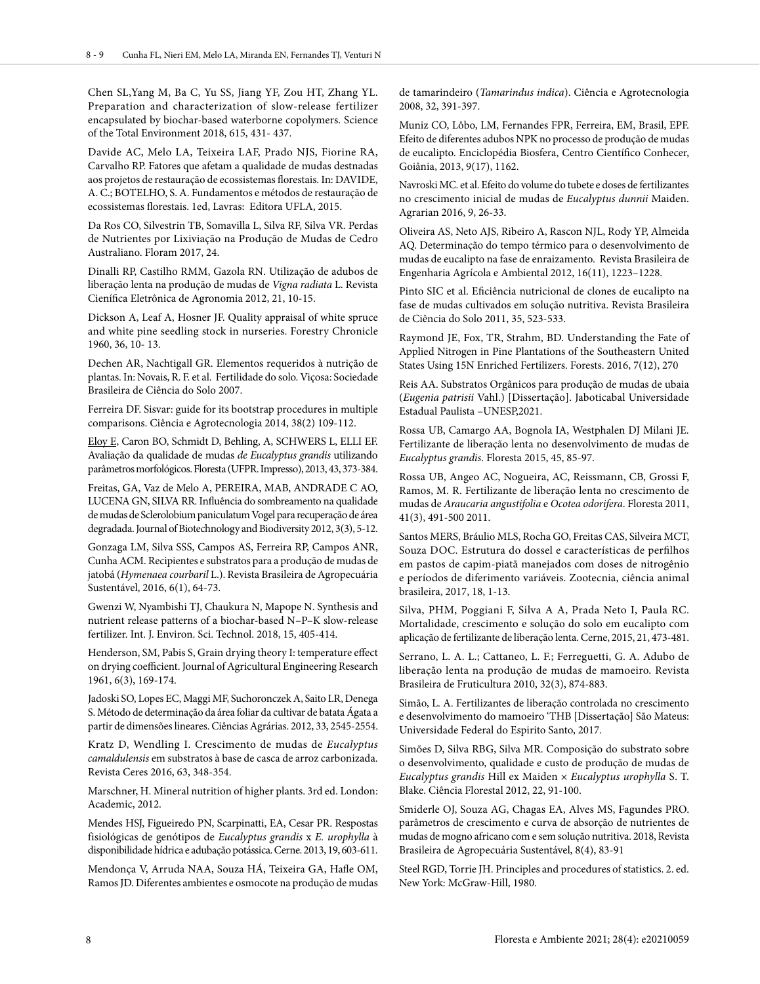Chen SL,Yang M, Ba C, Yu SS, Jiang YF, Zou HT, Zhang YL. Preparation and characterization of slow-release fertilizer encapsulated by biochar-based waterborne copolymers. Science of the Total Environment 2018, 615, 431- 437.

Davide AC, Melo LA, Teixeira LAF, Prado NJS, Fiorine RA, Carvalho RP. Fatores que afetam a qualidade de mudas destnadas aos projetos de restauração de ecossistemas florestais. In: DAVIDE, A. C.; BOTELHO, S. A. Fundamentos e métodos de restauração de ecossistemas florestais. 1ed, Lavras: Editora UFLA, 2015.

Da Ros CO, Silvestrin TB, Somavilla L, Silva RF, Silva VR. Perdas de Nutrientes por Lixiviação na Produção de Mudas de Cedro Australiano. Floram 2017, 24.

Dinalli RP, Castilho RMM, Gazola RN. Utilização de adubos de liberação lenta na produção de mudas de *Vigna radiata* L. Revista Cienífica Eletrônica de Agronomia 2012, 21, 10-15.

Dickson A, Leaf A, Hosner JF. Quality appraisal of white spruce and white pine seedling stock in nurseries. Forestry Chronicle 1960, 36, 10- 13.

Dechen AR, Nachtigall GR. Elementos requeridos à nutrição de plantas. In: Novais, R. F. et al. Fertilidade do solo. Viçosa: Sociedade Brasileira de Ciência do Solo 2007.

Ferreira DF. Sisvar: guide for its bootstrap procedures in multiple comparisons. Ciência e Agrotecnologia 2014, 38(2) 109-112.

Eloy E, Caron BO, Schmidt D, Behling, A, SCHWERS L, ELLI EF. Avaliação da qualidade de mudas *de Eucalyptus grandis* utilizando parâmetros morfológicos. Floresta (UFPR. Impresso), 2013, 43, 373-384.

Freitas, GA, Vaz de Melo A, PEREIRA, MAB, ANDRADE C AO, LUCENA GN, SILVA RR. Influência do sombreamento na qualidade de mudas de Sclerolobium paniculatum Vogel para recuperação de área degradada. Journal of Biotechnology and Biodiversity 2012, 3(3), 5-12.

Gonzaga LM, Silva SSS, Campos AS, Ferreira RP, Campos ANR, Cunha ACM. Recipientes e substratos para a produção de mudas de jatobá (*Hymenaea courbaril* L.). Revista Brasileira de Agropecuária Sustentável, 2016, 6(1), 64-73.

Gwenzi W, Nyambishi TJ, Chaukura N, Mapope N. Synthesis and nutrient release patterns of a biochar-based N–P–K slow-release fertilizer. Int. J. Environ. Sci. Technol. 2018, 15, 405-414.

Henderson, SM, Pabis S, Grain drying theory I: temperature effect on drying coefficient. Journal of Agricultural Engineering Research 1961, 6(3), 169-174.

Jadoski SO, Lopes EC, Maggi MF, Suchoronczek A, Saito LR, Denega S. Método de determinação da área foliar da cultivar de batata Ágata a partir de dimensões lineares. Ciências Agrárias. 2012, 33, 2545-2554.

Kratz D, Wendling I. Crescimento de mudas de *Eucalyptus camaldulensis* em substratos à base de casca de arroz carbonizada. Revista Ceres 2016, 63, 348-354.

Marschner, H. Mineral nutrition of higher plants. 3rd ed. London: Academic, 2012.

Mendes HSJ, Figueiredo PN, Scarpinatti, EA, Cesar PR. Respostas fisiológicas de genótipos de *Eucalyptus grandis* x *E. urophylla* à disponibilidade hídrica e adubação potássica. Cerne. 2013, 19, 603-611.

Mendonça V, Arruda NAA, Souza HÁ, Teixeira GA, Hafle OM, Ramos JD. Diferentes ambientes e osmocote na produção de mudas de tamarindeiro (*Tamarindus indica*). Ciência e Agrotecnologia 2008, 32, 391-397.

Muniz CO, Lôbo, LM, Fernandes FPR, Ferreira, EM, Brasil, EPF. Efeito de diferentes adubos NPK no processo de produção de mudas de eucalipto. Enciclopédia Biosfera, Centro Científico Conhecer, Goiânia, 2013, 9(17), 1162.

Navroski MC. et al. Efeito do volume do tubete e doses de fertilizantes no crescimento inicial de mudas de *Eucalyptus dunnii* Maiden. Agrarian 2016, 9, 26-33.

Oliveira AS, Neto AJS, Ribeiro A, Rascon NJL, Rody YP, Almeida AQ. Determinação do tempo térmico para o desenvolvimento de mudas de eucalipto na fase de enraizamento. Revista Brasileira de Engenharia Agrícola e Ambiental 2012, 16(11), 1223–1228.

Pinto SIC et al. Eficiência nutricional de clones de eucalipto na fase de mudas cultivados em solução nutritiva. Revista Brasileira de Ciência do Solo 2011, 35, 523-533.

Raymond JE, Fox, TR, Strahm, BD. Understanding the Fate of Applied Nitrogen in Pine Plantations of the Southeastern United States Using 15N Enriched Fertilizers. Forests. 2016, 7(12), 270

Reis AA. Substratos Orgânicos para produção de mudas de ubaia (*Eugenia patrisii* Vahl.) [Dissertação]. Jaboticabal Universidade Estadual Paulista –UNESP,2021.

Rossa UB, Camargo AA, Bognola IA, Westphalen DJ Milani JE. Fertilizante de liberação lenta no desenvolvimento de mudas de *Eucalyptus grandis*. Floresta 2015, 45, 85-97.

Rossa UB, Angeo AC, Nogueira, AC, Reissmann, CB, Grossi F, Ramos, M. R. Fertilizante de liberação lenta no crescimento de mudas de *Araucaria angustifolia* e *Ocotea odorifera*. Floresta 2011, 41(3), 491-500 2011.

Santos MERS, Bráulio MLS, Rocha GO, Freitas CAS, Silveira MCT, Souza DOC. Estrutura do dossel e características de perfilhos em pastos de capim-piatã manejados com doses de nitrogênio e períodos de diferimento variáveis. Zootecnia, ciência animal brasileira, 2017, 18, 1-13.

Silva, PHM, Poggiani F, Silva A A, Prada Neto I, Paula RC. Mortalidade, crescimento e solução do solo em eucalipto com aplicação de fertilizante de liberação lenta. Cerne, 2015, 21, 473-481.

Serrano, L. A. L.; Cattaneo, L. F.; Ferreguetti, G. A. Adubo de liberação lenta na produção de mudas de mamoeiro. Revista Brasileira de Fruticultura 2010, 32(3), 874-883.

Simão, L. A. Fertilizantes de liberação controlada no crescimento e desenvolvimento do mamoeiro 'THB [Dissertação] São Mateus: Universidade Federal do Espirito Santo, 2017.

Simões D, Silva RBG, Silva MR. Composição do substrato sobre o desenvolvimento, qualidade e custo de produção de mudas de *Eucalyptus grandis* Hill ex Maiden × *Eucalyptus urophylla* S. T. Blake. Ciência Florestal 2012, 22, 91-100.

Smiderle OJ, Souza AG, Chagas EA, Alves MS, Fagundes PRO. parâmetros de crescimento e curva de absorção de nutrientes de mudas de mogno africano com e sem solução nutritiva. 2018, Revista Brasileira de Agropecuária Sustentável, 8(4), 83-91

Steel RGD, Torrie JH. Principles and procedures of statistics. 2. ed. New York: McGraw-Hill, 1980.